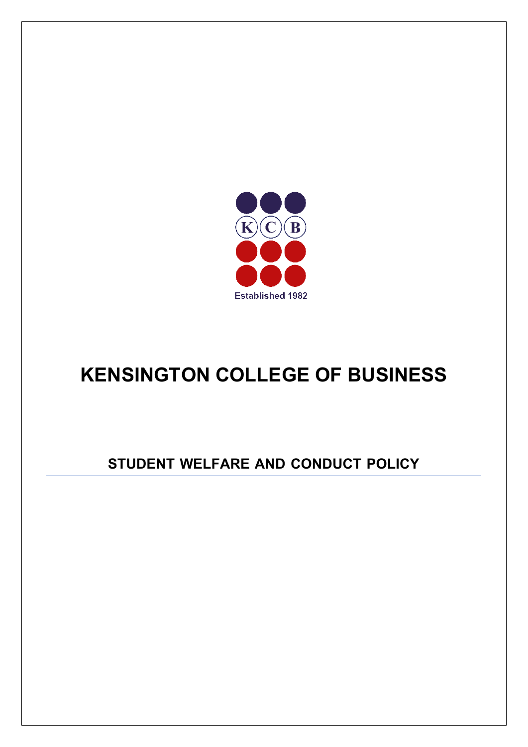

# **KENSINGTON COLLEGE OF BUSINESS**

## **STUDENT WELFARE AND CONDUCT POLICY**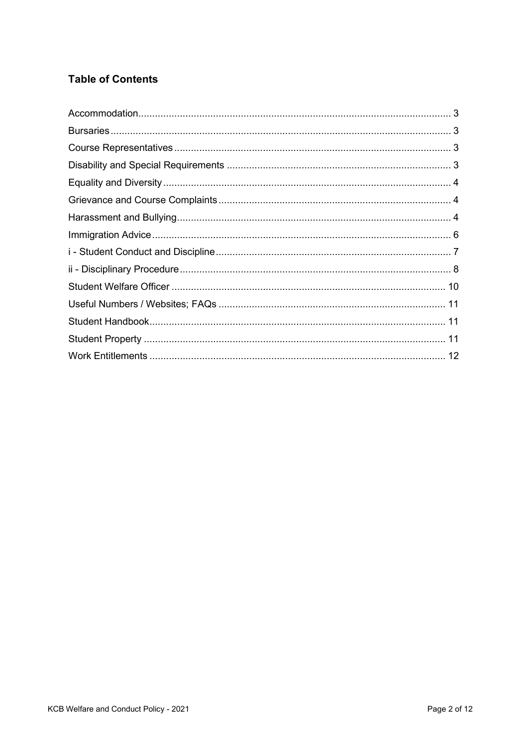### **Table of Contents**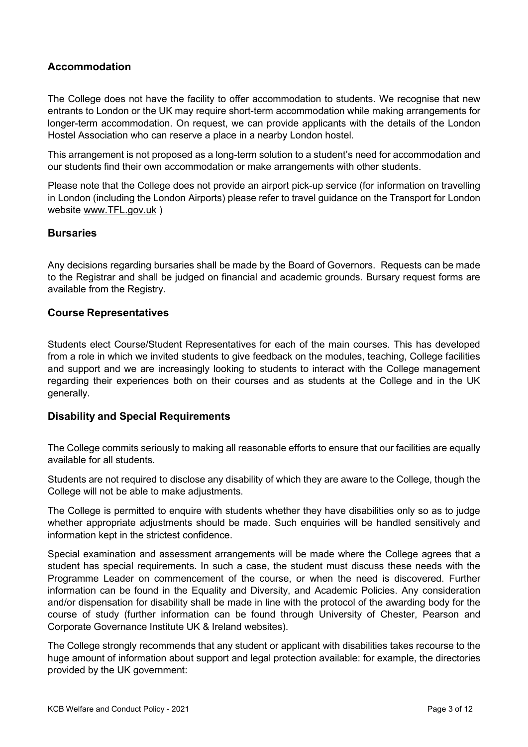#### <span id="page-2-0"></span>**Accommodation**

The College does not have the facility to offer accommodation to students. We recognise that new entrants to London or the UK may require short-term accommodation while making arrangements for longer-term accommodation. On request, we can provide applicants with the details of the London Hostel Association who can reserve a place in a nearby London hostel.

This arrangement is not proposed as a long-term solution to a student's need for accommodation and our students find their own accommodation or make arrangements with other students.

Please note that the College does not provide an airport pick-up service (for information on travelling in London (including the London Airports) please refer to travel guidance on the Transport for London website [www.TFL.gov.uk](http://www.tfl.gov.uk/) )

#### <span id="page-2-1"></span>**Bursaries**

Any decisions regarding bursaries shall be made by the Board of Governors. Requests can be made to the Registrar and shall be judged on financial and academic grounds. Bursary request forms are available from the Registry.

#### <span id="page-2-2"></span>**Course Representatives**

Students elect Course/Student Representatives for each of the main courses. This has developed from a role in which we invited students to give feedback on the modules, teaching, College facilities and support and we are increasingly looking to students to interact with the College management regarding their experiences both on their courses and as students at the College and in the UK generally.

#### <span id="page-2-3"></span>**Disability and Special Requirements**

The College commits seriously to making all reasonable efforts to ensure that our facilities are equally available for all students.

Students are not required to disclose any disability of which they are aware to the College, though the College will not be able to make adjustments.

The College is permitted to enquire with students whether they have disabilities only so as to judge whether appropriate adjustments should be made. Such enquiries will be handled sensitively and information kept in the strictest confidence.

Special examination and assessment arrangements will be made where the College agrees that a student has special requirements. In such a case, the student must discuss these needs with the Programme Leader on commencement of the course, or when the need is discovered. Further information can be found in the Equality and Diversity, and Academic Policies. Any consideration and/or dispensation for disability shall be made in line with the protocol of the awarding body for the course of study (further information can be found through University of Chester, Pearson and Corporate Governance Institute UK & Ireland websites).

The College strongly recommends that any student or applicant with disabilities takes recourse to the huge amount of information about support and legal protection available: for example, the directories provided by the UK government: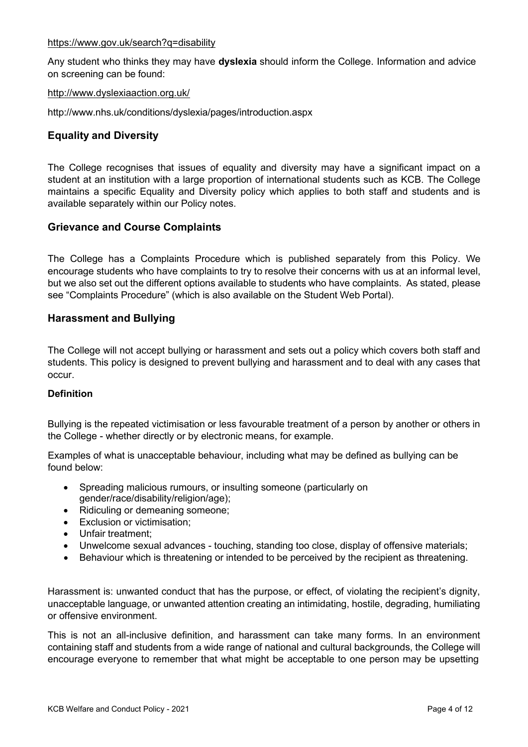#### https:/[/www.gov.uk/search?q=disability](http://www.gov.uk/search?q=disability)

Any student who thinks they may have **dyslexia** should inform the College. Information and advice on screening can be found:

<http://www.dyslexiaaction.org.uk/>

<http://www.nhs.uk/conditions/dyslexia/pages/introduction.aspx>

#### <span id="page-3-0"></span>**Equality and Diversity**

The College recognises that issues of equality and diversity may have a significant impact on a student at an institution with a large proportion of international students such as KCB. The College maintains a specific Equality and Diversity policy which applies to both staff and students and is available separately within our Policy notes.

#### <span id="page-3-1"></span>**Grievance and Course Complaints**

The College has a Complaints Procedure which is published separately from this Policy. We encourage students who have complaints to try to resolve their concerns with us at an informal level, but we also set out the different options available to students who have complaints. As stated, please see "Complaints Procedure" (which is also available on the Student Web Portal).

#### <span id="page-3-2"></span>**Harassment and Bullying**

The College will not accept bullying or harassment and sets out a policy which covers both staff and students. This policy is designed to prevent bullying and harassment and to deal with any cases that occur.

#### **Definition**

Bullying is the repeated victimisation or less favourable treatment of a person by another or others in the College - whether directly or by electronic means, for example.

Examples of what is unacceptable behaviour, including what may be defined as bullying can be found below:

- Spreading malicious rumours, or insulting someone (particularly on gender/race/disability/religion/age);
- Ridiculing or demeaning someone;
- Exclusion or victimisation;
- Unfair treatment;
- Unwelcome sexual advances touching, standing too close, display of offensive materials;
- Behaviour which is threatening or intended to be perceived by the recipient as threatening.

Harassment is: unwanted conduct that has the purpose, or effect, of violating the recipient's dignity, unacceptable language, or unwanted attention creating an intimidating, hostile, degrading, humiliating or offensive environment.

This is not an all-inclusive definition, and harassment can take many forms. In an environment containing staff and students from a wide range of national and cultural backgrounds, the College will encourage everyone to remember that what might be acceptable to one person may be upsetting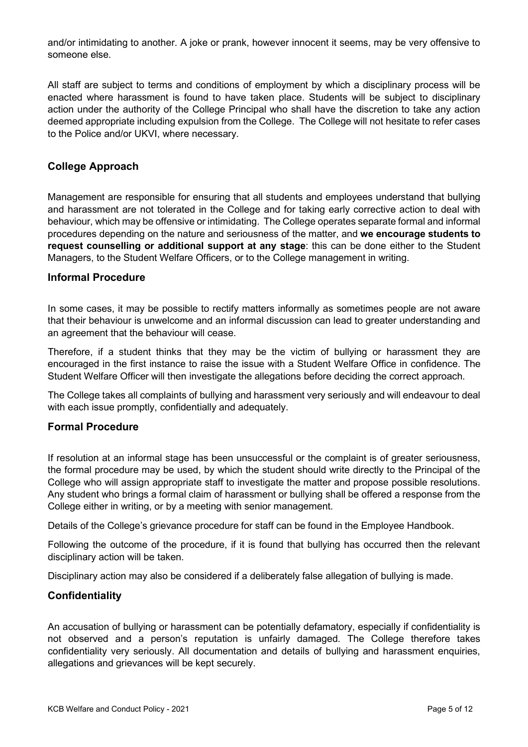and/or intimidating to another. A joke or prank, however innocent it seems, may be very offensive to someone else.

All staff are subject to terms and conditions of employment by which a disciplinary process will be enacted where harassment is found to have taken place. Students will be subject to disciplinary action under the authority of the College Principal who shall have the discretion to take any action deemed appropriate including expulsion from the College. The College will not hesitate to refer cases to the Police and/or UKVI, where necessary.

#### **College Approach**

Management are responsible for ensuring that all students and employees understand that bullying and harassment are not tolerated in the College and for taking early corrective action to deal with behaviour, which may be offensive or intimidating. The College operates separate formal and informal procedures depending on the nature and seriousness of the matter, and **we encourage students to request counselling or additional support at any stage**: this can be done either to the Student Managers, to the Student Welfare Officers, or to the College management in writing.

#### **Informal Procedure**

In some cases, it may be possible to rectify matters informally as sometimes people are not aware that their behaviour is unwelcome and an informal discussion can lead to greater understanding and an agreement that the behaviour will cease.

Therefore, if a student thinks that they may be the victim of bullying or harassment they are encouraged in the first instance to raise the issue with a Student Welfare Office in confidence. The Student Welfare Officer will then investigate the allegations before deciding the correct approach.

The College takes all complaints of bullying and harassment very seriously and will endeavour to deal with each issue promptly, confidentially and adequately.

#### **Formal Procedure**

If resolution at an informal stage has been unsuccessful or the complaint is of greater seriousness, the formal procedure may be used, by which the student should write directly to the Principal of the College who will assign appropriate staff to investigate the matter and propose possible resolutions. Any student who brings a formal claim of harassment or bullying shall be offered a response from the College either in writing, or by a meeting with senior management.

Details of the College's grievance procedure for staff can be found in the Employee Handbook.

Following the outcome of the procedure, if it is found that bullying has occurred then the relevant disciplinary action will be taken.

Disciplinary action may also be considered if a deliberately false allegation of bullying is made.

#### **Confidentiality**

An accusation of bullying or harassment can be potentially defamatory, especially if confidentiality is not observed and a person's reputation is unfairly damaged. The College therefore takes confidentiality very seriously. All documentation and details of bullying and harassment enquiries, allegations and grievances will be kept securely.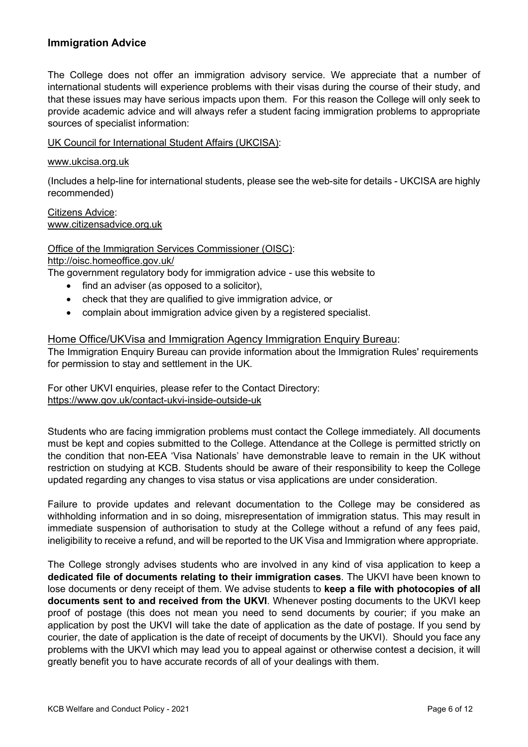#### <span id="page-5-0"></span>**Immigration Advice**

The College does not offer an immigration advisory service. We appreciate that a number of international students will experience problems with their visas during the course of their study, and that these issues may have serious impacts upon them. For this reason the College will only seek to provide academic advice and will always refer a student facing immigration problems to appropriate sources of specialist information:

#### UK Council for International Student Affairs (UKCISA):

#### [www.ukcisa.org.uk](http://www.ukcisa.org.uk/)

(Includes a help-line for international students, please see the web-site for details - UKCISA are highly recommended)

Citizens Advice: [www.citizensadvice.org.uk](http://www.citizensadvice.org.uk/)

Office of the Immigration Services Commissioner (OISC): <http://oisc.homeoffice.gov.uk/>

The government regulatory body for immigration advice - use this website to

- find an adviser (as opposed to a solicitor),
- check that they are qualified to give immigration advice, or
- complain about immigration advice given by a registered specialist.

#### Home Office/UKVisa and Immigration Agency Immigration Enquiry Bureau:

The Immigration Enquiry Bureau can provide information about the Immigration Rules' requirements for permission to stay and settlement in the UK.

For other UKVI enquiries, please refer to the Contact Directory: https:/[/www.gov.uk/contact-ukvi-inside-outside-uk](http://www.gov.uk/contact-ukvi-inside-outside-uk)

Students who are facing immigration problems must contact the College immediately. All documents must be kept and copies submitted to the College. Attendance at the College is permitted strictly on the condition that non-EEA 'Visa Nationals' have demonstrable leave to remain in the UK without restriction on studying at KCB. Students should be aware of their responsibility to keep the College updated regarding any changes to visa status or visa applications are under consideration.

Failure to provide updates and relevant documentation to the College may be considered as withholding information and in so doing, misrepresentation of immigration status. This may result in immediate suspension of authorisation to study at the College without a refund of any fees paid, ineligibility to receive a refund, and will be reported to the UK Visa and Immigration where appropriate.

The College strongly advises students who are involved in any kind of visa application to keep a **dedicated file of documents relating to their immigration cases**. The UKVI have been known to lose documents or deny receipt of them. We advise students to **keep a file with photocopies of all documents sent to and received from the UKVI**. Whenever posting documents to the UKVI keep proof of postage (this does not mean you need to send documents by courier; if you make an application by post the UKVI will take the date of application as the date of postage. If you send by courier, the date of application is the date of receipt of documents by the UKVI). Should you face any problems with the UKVI which may lead you to appeal against or otherwise contest a decision, it will greatly benefit you to have accurate records of all of your dealings with them.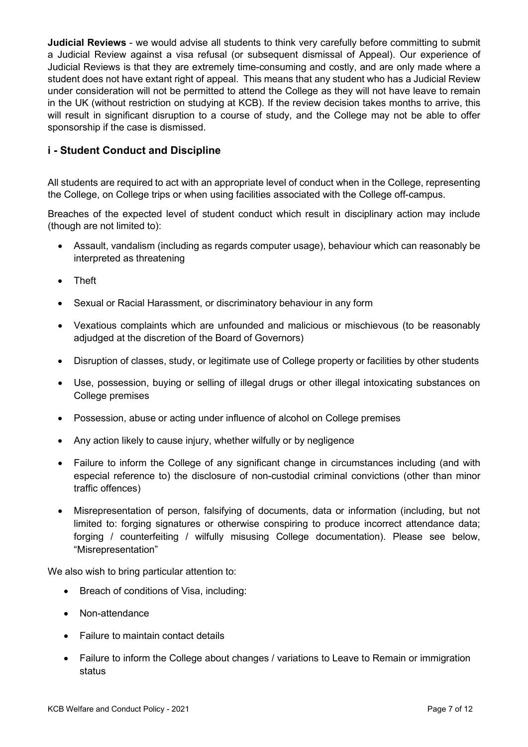**Judicial Reviews** - we would advise all students to think very carefully before committing to submit a Judicial Review against a visa refusal (or subsequent dismissal of Appeal). Our experience of Judicial Reviews is that they are extremely time-consuming and costly, and are only made where a student does not have extant right of appeal. This means that any student who has a Judicial Review under consideration will not be permitted to attend the College as they will not have leave to remain in the UK (without restriction on studying at KCB). If the review decision takes months to arrive, this will result in significant disruption to a course of study, and the College may not be able to offer sponsorship if the case is dismissed.

#### <span id="page-6-0"></span>**i - Student Conduct and Discipline**

All students are required to act with an appropriate level of conduct when in the College, representing the College, on College trips or when using facilities associated with the College off-campus.

Breaches of the expected level of student conduct which result in disciplinary action may include (though are not limited to):

- Assault, vandalism (including as regards computer usage), behaviour which can reasonably be interpreted as threatening
- Theft
- Sexual or Racial Harassment, or discriminatory behaviour in any form
- Vexatious complaints which are unfounded and malicious or mischievous (to be reasonably adjudged at the discretion of the Board of Governors)
- Disruption of classes, study, or legitimate use of College property or facilities by other students
- Use, possession, buying or selling of illegal drugs or other illegal intoxicating substances on College premises
- Possession, abuse or acting under influence of alcohol on College premises
- Any action likely to cause injury, whether wilfully or by negligence
- Failure to inform the College of any significant change in circumstances including (and with especial reference to) the disclosure of non-custodial criminal convictions (other than minor traffic offences)
- Misrepresentation of person, falsifying of documents, data or information (including, but not limited to: forging signatures or otherwise conspiring to produce incorrect attendance data; forging / counterfeiting / wilfully misusing College documentation). Please see below, "Misrepresentation"

We also wish to bring particular attention to:

- Breach of conditions of Visa, including:
- Non-attendance
- Failure to maintain contact details
- Failure to inform the College about changes / variations to Leave to Remain or immigration status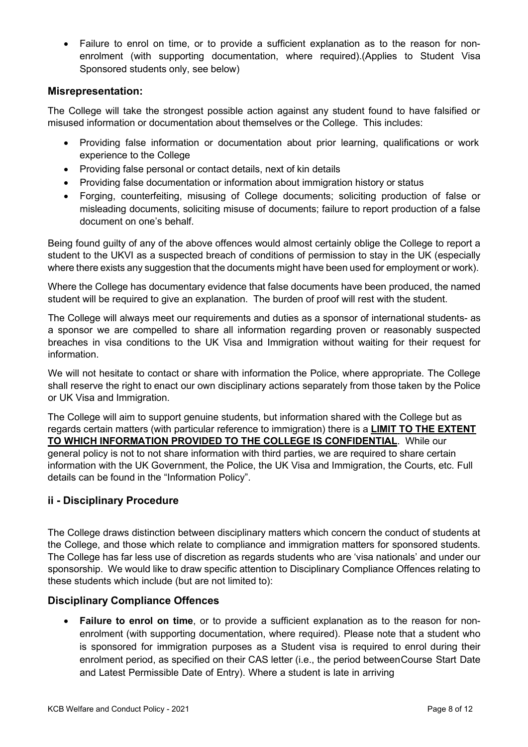• Failure to enrol on time, or to provide a sufficient explanation as to the reason for nonenrolment (with supporting documentation, where required).(Applies to Student Visa Sponsored students only, see below)

#### **Misrepresentation:**

The College will take the strongest possible action against any student found to have falsified or misused information or documentation about themselves or the College. This includes:

- Providing false information or documentation about prior learning, qualifications or work experience to the College
- Providing false personal or contact details, next of kin details
- Providing false documentation or information about immigration history or status
- Forging, counterfeiting, misusing of College documents; soliciting production of false or misleading documents, soliciting misuse of documents; failure to report production of a false document on one's behalf.

Being found guilty of any of the above offences would almost certainly oblige the College to report a student to the UKVI as a suspected breach of conditions of permission to stay in the UK (especially where there exists any suggestion that the documents might have been used for employment or work).

Where the College has documentary evidence that false documents have been produced, the named student will be required to give an explanation. The burden of proof will rest with the student.

The College will always meet our requirements and duties as a sponsor of international students- as a sponsor we are compelled to share all information regarding proven or reasonably suspected breaches in visa conditions to the UK Visa and Immigration without waiting for their request for information.

We will not hesitate to contact or share with information the Police, where appropriate. The College shall reserve the right to enact our own disciplinary actions separately from those taken by the Police or UK Visa and Immigration.

The College will aim to support genuine students, but information shared with the College but as regards certain matters (with particular reference to immigration) there is a **LIMIT TO THE EXTENT TO WHICH INFORMATION PROVIDED TO THE COLLEGE IS CONFIDENTIAL**. While our general policy is not to not share information with third parties, we are required to share certain information with the UK Government, the Police, the UK Visa and Immigration, the Courts, etc. Full details can be found in the "Information Policy".

#### <span id="page-7-0"></span>**ii - Disciplinary Procedure**

The College draws distinction between disciplinary matters which concern the conduct of students at the College, and those which relate to compliance and immigration matters for sponsored students. The College has far less use of discretion as regards students who are 'visa nationals' and under our sponsorship. We would like to draw specific attention to Disciplinary Compliance Offences relating to these students which include (but are not limited to):

#### **Disciplinary Compliance Offences**

• **Failure to enrol on time**, or to provide a sufficient explanation as to the reason for nonenrolment (with supporting documentation, where required). Please note that a student who is sponsored for immigration purposes as a Student visa is required to enrol during their enrolment period, as specified on their CAS letter (i.e., the period betweenCourse Start Date and Latest Permissible Date of Entry). Where a student is late in arriving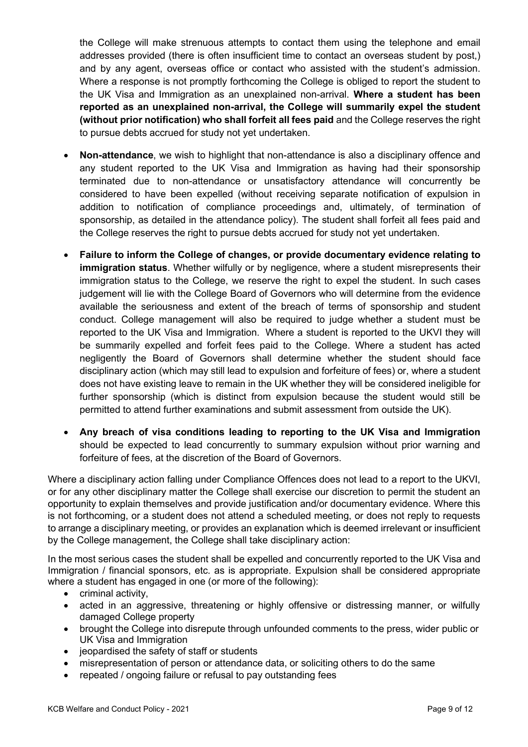the College will make strenuous attempts to contact them using the telephone and email addresses provided (there is often insufficient time to contact an overseas student by post,) and by any agent, overseas office or contact who assisted with the student's admission. Where a response is not promptly forthcoming the College is obliged to report the student to the UK Visa and Immigration as an unexplained non-arrival. **Where a student has been reported as an unexplained non-arrival, the College will summarily expel the student (without prior notification) who shall forfeit all fees paid** and the College reserves the right to pursue debts accrued for study not yet undertaken.

- **Non-attendance**, we wish to highlight that non-attendance is also a disciplinary offence and any student reported to the UK Visa and Immigration as having had their sponsorship terminated due to non-attendance or unsatisfactory attendance will concurrently be considered to have been expelled (without receiving separate notification of expulsion in addition to notification of compliance proceedings and, ultimately, of termination of sponsorship, as detailed in the attendance policy). The student shall forfeit all fees paid and the College reserves the right to pursue debts accrued for study not yet undertaken.
- **Failure to inform the College of changes, or provide documentary evidence relating to immigration status**. Whether wilfully or by negligence, where a student misrepresents their immigration status to the College, we reserve the right to expel the student. In such cases judgement will lie with the College Board of Governors who will determine from the evidence available the seriousness and extent of the breach of terms of sponsorship and student conduct. College management will also be required to judge whether a student must be reported to the UK Visa and Immigration. Where a student is reported to the UKVI they will be summarily expelled and forfeit fees paid to the College. Where a student has acted negligently the Board of Governors shall determine whether the student should face disciplinary action (which may still lead to expulsion and forfeiture of fees) or, where a student does not have existing leave to remain in the UK whether they will be considered ineligible for further sponsorship (which is distinct from expulsion because the student would still be permitted to attend further examinations and submit assessment from outside the UK).
- **Any breach of visa conditions leading to reporting to the UK Visa and Immigration** should be expected to lead concurrently to summary expulsion without prior warning and forfeiture of fees, at the discretion of the Board of Governors.

Where a disciplinary action falling under Compliance Offences does not lead to a report to the UKVI, or for any other disciplinary matter the College shall exercise our discretion to permit the student an opportunity to explain themselves and provide justification and/or documentary evidence. Where this is not forthcoming, or a student does not attend a scheduled meeting, or does not reply to requests to arrange a disciplinary meeting, or provides an explanation which is deemed irrelevant or insufficient by the College management, the College shall take disciplinary action:

In the most serious cases the student shall be expelled and concurrently reported to the UK Visa and Immigration / financial sponsors, etc. as is appropriate. Expulsion shall be considered appropriate where a student has engaged in one (or more of the following):

- criminal activity,
- acted in an aggressive, threatening or highly offensive or distressing manner, or wilfully damaged College property
- brought the College into disrepute through unfounded comments to the press, wider public or UK Visa and Immigration
- jeopardised the safety of staff or students
- misrepresentation of person or attendance data, or soliciting others to do the same
- repeated / ongoing failure or refusal to pay outstanding fees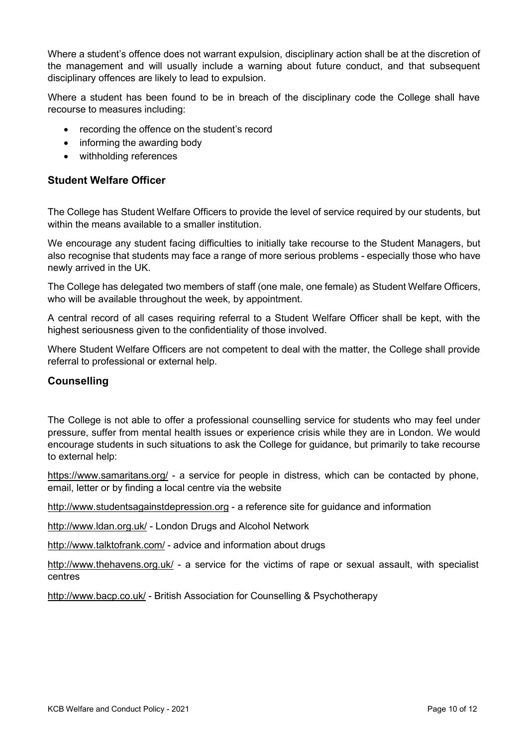<span id="page-9-1"></span>Where a student's offence does not warrant expulsion, disciplinary action shall be at the discretion of the management and will usually include a warning about future conduct, and that subsequent disciplinary offences are likely to lead to expulsion.

Where a student has been found to be in breach of the disciplinary code the College shall have recourse to measures including:

- recording the offence on the student's record
- informing the awarding body
- withholding references

#### <span id="page-9-0"></span>**Student Welfare Officer**

The College has Student Welfare Officers to provide the level of service required by our students, but within the means available to a smaller institution.

We encourage any student facing difficulties to initially take recourse to the Student Managers, but also recognise that students may face a range of more serious problems - especially those who have newly arrived in the UK.

The College has delegated two members of staff (one male, one female) as Student Welfare Officers, who will be available throughout the week, by appointment.

A central record of all cases requiring referral to a Student Welfare Officer shall be kept, with the highest seriousness given to the confidentiality of those involved.

Where Student Welfare Officers are not competent to deal with the matter, the College shall provide referral to professional or external help.

#### **Counselling**

The College is not able to offer a professional counselling service for students who may feel under pressure, suffer from mental health issues or experience crisis while they are in London. We would encourage students in such situations to ask the College for guidance, but primarily to take recourse to external help:

https:/[/www.samaritans.org/](http://www.samaritans.org/) - a service for people in distress, which can be contacted by phone, email, letter or by finding a local centre via the website

[http://www.studentsagainstdepression.org](http://www.studentsagainstdepression.org/) - a reference site for guidance and information

<http://www.ldan.org.uk/> - London Drugs and Alcohol Network

<http://www.talktofrank.com/> - advice and information about drugs

<http://www.thehavens.org.uk/> - a service for the victims of rape or sexual assault, with specialist centres

<http://www.bacp.co.uk/> - British Association for Counselling & Psychotherapy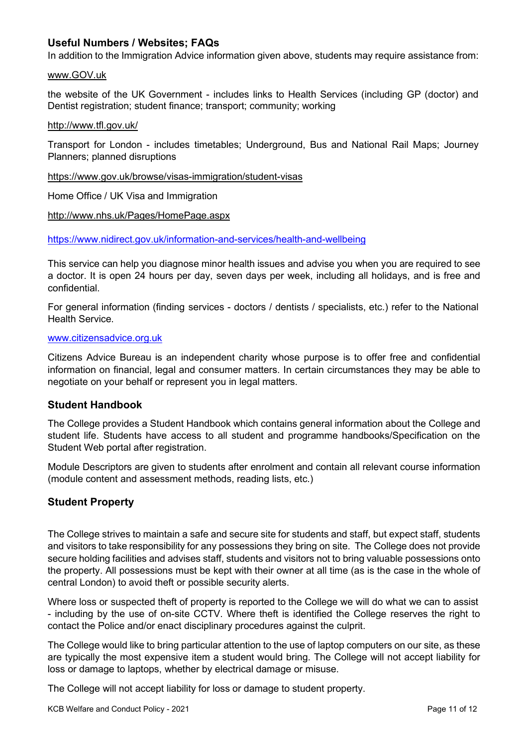#### **Useful Numbers / Websites; FAQs**

In addition to the Immigration Advice information given above, students may require assistance from:

#### [www.GOV.uk](http://www.gov.uk/)

the website of the UK Government - includes links to Health Services (including GP (doctor) and Dentist registration; student finance; transport; community; working

#### <http://www.tfl.gov.uk/>

Transport for London - includes timetables; Underground, Bus and National Rail Maps; Journey Planners; planned disruptions

<https://www.gov.uk/browse/visas-immigration/student-visas>

Home Office / UK Visa and Immigration

<http://www.nhs.uk/Pages/HomePage.aspx>

<https://www.nidirect.gov.uk/information-and-services/health-and-wellbeing>

This service can help you diagnose minor health issues and advise you when you are required to see a doctor. It is open 24 hours per day, seven days per week, including all holidays, and is free and confidential.

For general information (finding services - doctors / dentists / specialists, etc.) refer to the National Health Service.

#### [www.citizensadvice.org.uk](http://www.citizensadvice.org.uk/)

Citizens Advice Bureau is an independent charity whose purpose is to offer free and confidential information on financial, legal and consumer matters. In certain circumstances they may be able to negotiate on your behalf or represent you in legal matters.

#### <span id="page-10-0"></span>**Student Handbook**

The College provides a Student Handbook which contains general information about the College and student life. Students have access to all student and programme handbooks/Specification on the Student Web portal after registration.

Module Descriptors are given to students after enrolment and contain all relevant course information (module content and assessment methods, reading lists, etc.)

#### <span id="page-10-1"></span>**Student Property**

The College strives to maintain a safe and secure site for students and staff, but expect staff, students and visitors to take responsibility for any possessions they bring on site. The College does not provide secure holding facilities and advises staff, students and visitors not to bring valuable possessions onto the property. All possessions must be kept with their owner at all time (as is the case in the whole of central London) to avoid theft or possible security alerts.

Where loss or suspected theft of property is reported to the College we will do what we can to assist - including by the use of on-site CCTV. Where theft is identified the College reserves the right to contact the Police and/or enact disciplinary procedures against the culprit.

The College would like to bring particular attention to the use of laptop computers on our site, as these are typically the most expensive item a student would bring. The College will not accept liability for loss or damage to laptops, whether by electrical damage or misuse.

The College will not accept liability for loss or damage to student property.